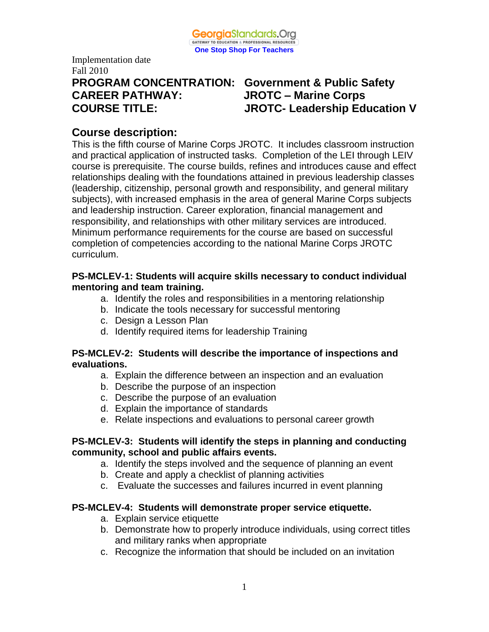

Implementation date Fall 2010 **CAREER PATHWAY: JROTC – Marine Corps**

# **PROGRAM CONCENTRATION: Government & Public Safety COURSE TITLE: JROTC- Leadership Education V**

# **Course description:**

This is the fifth course of Marine Corps JROTC. It includes classroom instruction and practical application of instructed tasks. Completion of the LEI through LEIV course is prerequisite. The course builds, refines and introduces cause and effect relationships dealing with the foundations attained in previous leadership classes (leadership, citizenship, personal growth and responsibility, and general military subjects), with increased emphasis in the area of general Marine Corps subjects and leadership instruction. Career exploration, financial management and responsibility, and relationships with other military services are introduced. Minimum performance requirements for the course are based on successful completion of competencies according to the national Marine Corps JROTC curriculum.

# **PS-MCLEV-1: Students will acquire skills necessary to conduct individual mentoring and team training.**

- a. Identify the roles and responsibilities in a mentoring relationship
- b. Indicate the tools necessary for successful mentoring
- c. Design a Lesson Plan
- d. Identify required items for leadership Training

## **PS-MCLEV-2: Students will describe the importance of inspections and evaluations.**

- a. Explain the difference between an inspection and an evaluation
- b. Describe the purpose of an inspection
- c. Describe the purpose of an evaluation
- d. Explain the importance of standards
- e. Relate inspections and evaluations to personal career growth

# **PS-MCLEV-3: Students will identify the steps in planning and conducting community, school and public affairs events.**

- a. Identify the steps involved and the sequence of planning an event
- b. Create and apply a checklist of planning activities
- c. Evaluate the successes and failures incurred in event planning

# **PS-MCLEV-4: Students will demonstrate proper service etiquette.**

- a. Explain service etiquette
- b. Demonstrate how to properly introduce individuals, using correct titles and military ranks when appropriate
- c. Recognize the information that should be included on an invitation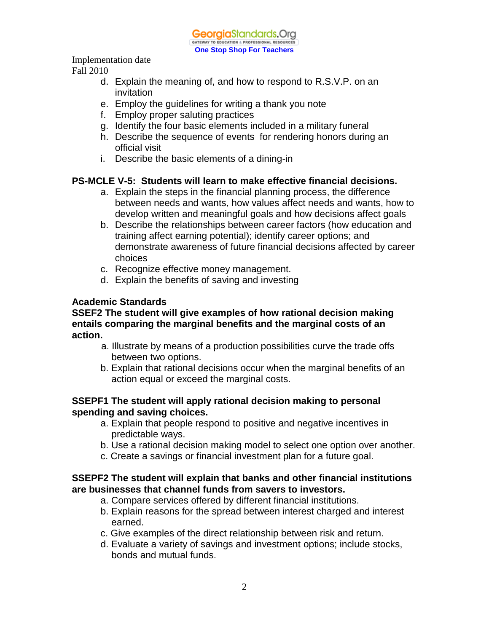

Implementation date

Fall 2010

- d. Explain the meaning of, and how to respond to R.S.V.P. on an invitation
- e. Employ the guidelines for writing a thank you note
- f. Employ proper saluting practices
- g. Identify the four basic elements included in a military funeral
- h. Describe the sequence of events for rendering honors during an official visit
- i. Describe the basic elements of a dining-in

# **PS-MCLE V-5: Students will learn to make effective financial decisions.**

- a. Explain the steps in the financial planning process, the difference between needs and wants, how values affect needs and wants, how to develop written and meaningful goals and how decisions affect goals
- b. Describe the relationships between career factors (how education and training affect earning potential); identify career options; and demonstrate awareness of future financial decisions affected by career choices
- c. Recognize effective money management.
- d. Explain the benefits of saving and investing

# **Academic Standards**

## **SSEF2 The student will give examples of how rational decision making entails comparing the marginal benefits and the marginal costs of an action.**

- a. Illustrate by means of a production possibilities curve the trade offs between two options.
- b. Explain that rational decisions occur when the marginal benefits of an action equal or exceed the marginal costs.

## **SSEPF1 The student will apply rational decision making to personal spending and saving choices.**

- a. Explain that people respond to positive and negative incentives in predictable ways.
- b. Use a rational decision making model to select one option over another.
- c. Create a savings or financial investment plan for a future goal.

# **SSEPF2 The student will explain that banks and other financial institutions are businesses that channel funds from savers to investors.**

- a. Compare services offered by different financial institutions.
- b. Explain reasons for the spread between interest charged and interest earned.
- c. Give examples of the direct relationship between risk and return.
- d. Evaluate a variety of savings and investment options; include stocks, bonds and mutual funds.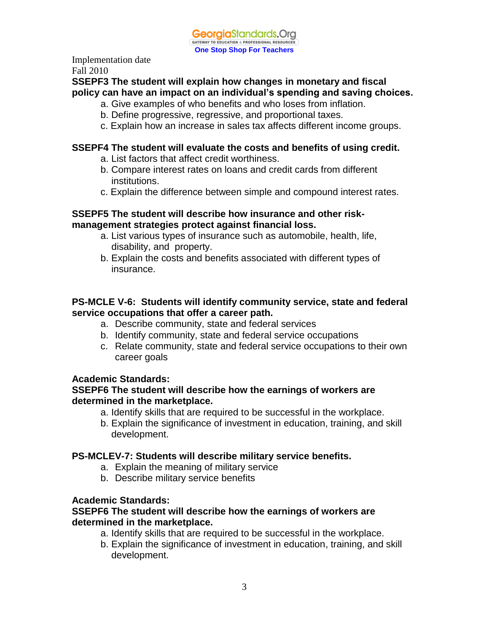# **SSEPF3 The student will explain how changes in monetary and fiscal policy can have an impact on an individual's spending and saving choices.**

- a. Give examples of who benefits and who loses from inflation.
- b. Define progressive, regressive, and proportional taxes.
- c. Explain how an increase in sales tax affects different income groups.

#### **SSEPF4 The student will evaluate the costs and benefits of using credit.**

- a. List factors that affect credit worthiness.
- b. Compare interest rates on loans and credit cards from different institutions.
- c. Explain the difference between simple and compound interest rates.

#### **SSEPF5 The student will describe how insurance and other riskmanagement strategies protect against financial loss.**

- a. List various types of insurance such as automobile, health, life, disability, and property.
- b. Explain the costs and benefits associated with different types of insurance.

# **PS-MCLE V-6: Students will identify community service, state and federal service occupations that offer a career path.**

- a. Describe community, state and federal services
- b. Identify community, state and federal service occupations
- c. Relate community, state and federal service occupations to their own career goals

## **Academic Standards:**

#### **SSEPF6 The student will describe how the earnings of workers are determined in the marketplace.**

- a. Identify skills that are required to be successful in the workplace.
- b. Explain the significance of investment in education, training, and skill development.

#### **PS-MCLEV-7: Students will describe military service benefits.**

- a. Explain the meaning of military service
- b. Describe military service benefits

#### **Academic Standards:**

#### **SSEPF6 The student will describe how the earnings of workers are determined in the marketplace.**

- a. Identify skills that are required to be successful in the workplace.
- b. Explain the significance of investment in education, training, and skill development.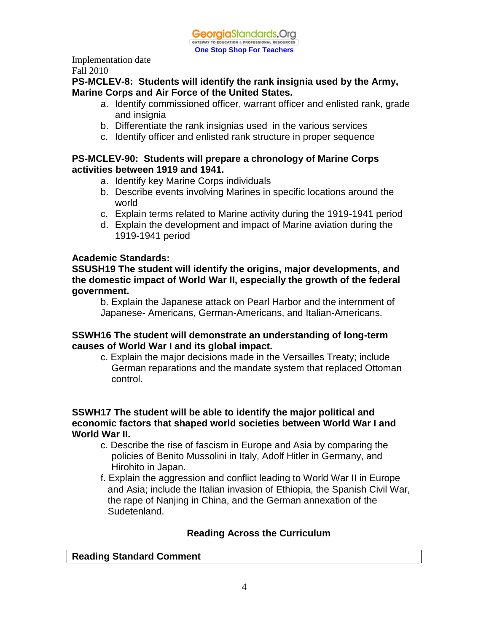**PS-MCLEV-8: Students will identify the rank insignia used by the Army, Marine Corps and Air Force of the United States.**

- a. Identify commissioned officer, warrant officer and enlisted rank, grade and insignia
- b. Differentiate the rank insignias used in the various services
- c. Identify officer and enlisted rank structure in proper sequence

# **PS-MCLEV-90: Students will prepare a chronology of Marine Corps activities between 1919 and 1941.**

- a. Identify key Marine Corps individuals
- b. Describe events involving Marines in specific locations around the world
- c. Explain terms related to Marine activity during the 1919-1941 period
- d. Explain the development and impact of Marine aviation during the 1919-1941 period

# **Academic Standards:**

**SSUSH19 The student will identify the origins, major developments, and the domestic impact of World War II, especially the growth of the federal government.** 

b. Explain the Japanese attack on Pearl Harbor and the internment of Japanese- Americans, German-Americans, and Italian-Americans.

## **SSWH16 The student will demonstrate an understanding of long-term causes of World War I and its global impact.**

c. Explain the major decisions made in the Versailles Treaty; include German reparations and the mandate system that replaced Ottoman control.

#### **SSWH17 The student will be able to identify the major political and economic factors that shaped world societies between World War I and World War II.**

- c. Describe the rise of fascism in Europe and Asia by comparing the policies of Benito Mussolini in Italy, Adolf Hitler in Germany, and Hirohito in Japan.
- f. Explain the aggression and conflict leading to World War II in Europe and Asia; include the Italian invasion of Ethiopia, the Spanish Civil War, the rape of Nanjing in China, and the German annexation of the Sudetenland.

# **Reading Across the Curriculum**

## **Reading Standard Comment**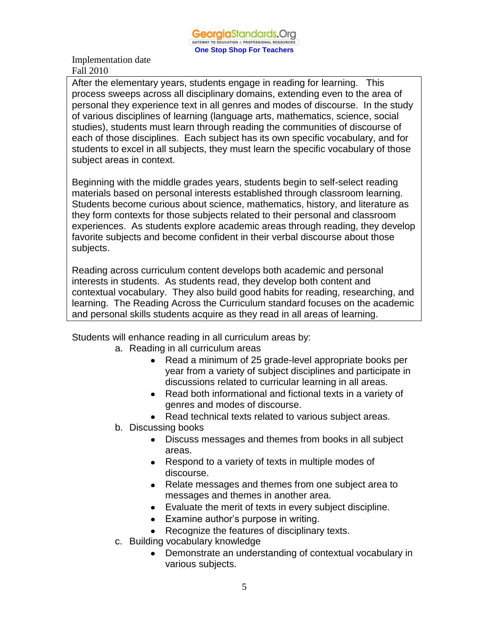After the elementary years, students engage in reading for learning. This process sweeps across all disciplinary domains, extending even to the area of personal they experience text in all genres and modes of discourse. In the study of various disciplines of learning (language arts, mathematics, science, social studies), students must learn through reading the communities of discourse of each of those disciplines. Each subject has its own specific vocabulary, and for students to excel in all subjects, they must learn the specific vocabulary of those subject areas in context.

Beginning with the middle grades years, students begin to self-select reading materials based on personal interests established through classroom learning. Students become curious about science, mathematics, history, and literature as they form contexts for those subjects related to their personal and classroom experiences. As students explore academic areas through reading, they develop favorite subjects and become confident in their verbal discourse about those subjects.

Reading across curriculum content develops both academic and personal interests in students. As students read, they develop both content and contextual vocabulary. They also build good habits for reading, researching, and learning. The Reading Across the Curriculum standard focuses on the academic and personal skills students acquire as they read in all areas of learning.

Students will enhance reading in all curriculum areas by:

- a. Reading in all curriculum areas
	- Read a minimum of 25 grade-level appropriate books per year from a variety of subject disciplines and participate in discussions related to curricular learning in all areas.
	- Read both informational and fictional texts in a variety of genres and modes of discourse.
	- Read technical texts related to various subject areas.
- b. Discussing books
	- Discuss messages and themes from books in all subject areas.
	- Respond to a variety of texts in multiple modes of discourse.
	- Relate messages and themes from one subject area to messages and themes in another area.
	- Evaluate the merit of texts in every subject discipline.
	- Examine author's purpose in writing.
	- Recognize the features of disciplinary texts.
- c. Building vocabulary knowledge
	- $\bullet$ Demonstrate an understanding of contextual vocabulary in various subjects.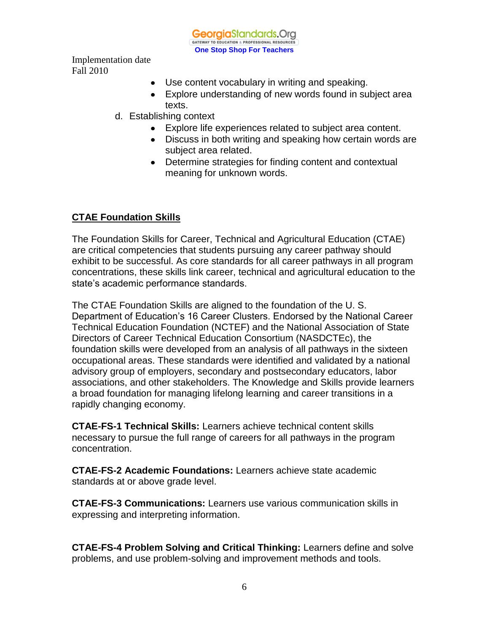

- Use content vocabulary in writing and speaking.
- Explore understanding of new words found in subject area texts.
- d. Establishing context
	- Explore life experiences related to subject area content.
	- Discuss in both writing and speaking how certain words are subject area related.
	- Determine strategies for finding content and contextual meaning for unknown words.

# **CTAE Foundation Skills**

The Foundation Skills for Career, Technical and Agricultural Education (CTAE) are critical competencies that students pursuing any career pathway should exhibit to be successful. As core standards for all career pathways in all program concentrations, these skills link career, technical and agricultural education to the state's academic performance standards.

The CTAE Foundation Skills are aligned to the foundation of the U. S. Department of Education's 16 Career Clusters. Endorsed by the National Career Technical Education Foundation (NCTEF) and the National Association of State Directors of Career Technical Education Consortium (NASDCTEc), the foundation skills were developed from an analysis of all pathways in the sixteen occupational areas. These standards were identified and validated by a national advisory group of employers, secondary and postsecondary educators, labor associations, and other stakeholders. The Knowledge and Skills provide learners a broad foundation for managing lifelong learning and career transitions in a rapidly changing economy.

**CTAE-FS-1 Technical Skills:** Learners achieve technical content skills necessary to pursue the full range of careers for all pathways in the program concentration.

**CTAE-FS-2 Academic Foundations:** Learners achieve state academic standards at or above grade level.

**CTAE-FS-3 Communications:** Learners use various communication skills in expressing and interpreting information.

**CTAE-FS-4 Problem Solving and Critical Thinking:** Learners define and solve problems, and use problem-solving and improvement methods and tools.